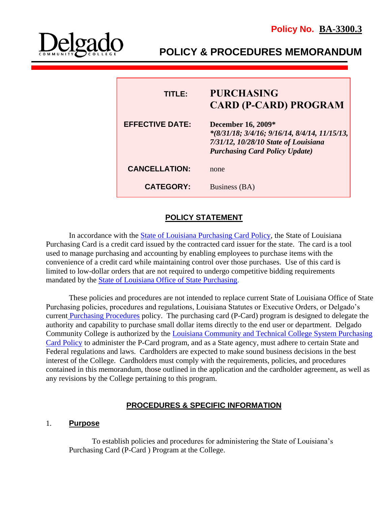

**POLICY & PROCEDURES MEMORANDUM**

| TITLE:                 | <b>PURCHASING</b><br><b>CARD (P-CARD) PROGRAM</b>                                                                                                             |
|------------------------|---------------------------------------------------------------------------------------------------------------------------------------------------------------|
| <b>EFFECTIVE DATE:</b> | <b>December 16, 2009*</b><br>$*(8/31/18; 3/4/16; 9/16/14, 8/4/14, 11/15/13,$<br>7/31/12, 10/28/10 State of Louisiana<br><b>Purchasing Card Policy Update)</b> |
| <b>CANCELLATION:</b>   | none                                                                                                                                                          |
| <b>CATEGORY:</b>       | Business (BA)                                                                                                                                                 |

# **POLICY STATEMENT**

l

In accordance with the [State of Louisiana Purchasing Card Policy,](http://www.doa.la.gov/Pages/osp/travel/lacartepcard.aspx) the State of Louisiana Purchasing Card is a credit card issued by the contracted card issuer for the state. The card is a tool used to manage purchasing and accounting by enabling employees to purchase items with the convenience of a credit card while maintaining control over those purchases. Use of this card is limited to low-dollar orders that are not required to undergo competitive bidding requirements mandated by the [State of Louisiana Office of](http://www.doa.la.gov/Pages/osp/Index.aspx) State Purchasing.

These policies and procedures are not intended to replace current State of Louisiana Office of State Purchasing policies, procedures and regulations, Louisiana Statutes or Executive Orders, or Delgado's current [Purchasing Procedures](http://docushare3.dcc.edu/docushare/dsweb/Get/Document-362/3300-1A+updated+8-09+with+29CFR+97.35.pdf) policy. The purchasing card (P-Card) program is designed to delegate the authority and capability to purchase small dollar items directly to the end user or department. Delgado Community College is authorized by the [Louisiana Community and Technical College System Purchasing](http://www.lctcs.edu/assets/docs/FinanceAndAdministration/5.018.pdf)  [Card Policy](http://www.lctcs.edu/assets/docs/FinanceAndAdministration/5.018.pdf) to administer the P-Card program, and as a State agency, must adhere to certain State and Federal regulations and laws. Cardholders are expected to make sound business decisions in the best interest of the College. Cardholders must comply with the requirements, policies, and procedures contained in this memorandum, those outlined in the application and the cardholder agreement, as well as any revisions by the College pertaining to this program.

# **PROCEDURES & SPECIFIC INFORMATION**

# 1. **Purpose**

To establish policies and procedures for administering the State of Louisiana's Purchasing Card (P-Card ) Program at the College.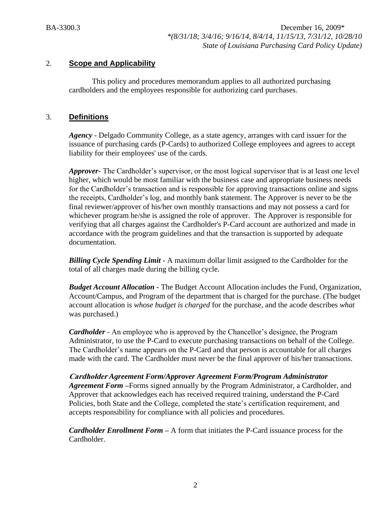### 2. **Scope and Applicability**

This policy and procedures memorandum applies to all authorized purchasing cardholders and the employees responsible for authorizing card purchases.

### 3. **Definitions**

*Agency* - Delgado Community College, as a state agency, arranges with card issuer for the issuance of purchasing cards (P-Cards) to authorized College employees and agrees to accept liability for their employees' use of the cards.

*Approver-* The Cardholder's supervisor, or the most logical supervisor that is at least one level higher, which would be most familiar with the business case and appropriate business needs for the Cardholder's transaction and is responsible for approving transactions online and signs the receipts, Cardholder's log, and monthly bank statement. The Approver is never to be the final reviewer/approver of his/her own monthly transactions and may not possess a card for whichever program he/she is assigned the role of approver. The Approver is responsible for verifying that all charges against the Cardholder's P-Card account are authorized and made in accordance with the program guidelines and that the transaction is supported by adequate documentation.

*Billing Cycle Spending Limit -* A maximum dollar limit assigned to the Cardholder for the total of all charges made during the billing cycle.

*Budget Account Allocation -* The Budget Account Allocation includes the Fund, Organization, Account/Campus, and Program of the department that is charged for the purchase. (The budget account allocation is *whose budget is charged* for the purchase, and the acode describes *what*  was purchased.)

*Cardholder -* An employee who is approved by the Chancellor's designee, the Program Administrator, to use the P-Card to execute purchasing transactions on behalf of the College. The Cardholder's name appears on the P-Card and that person is accountable for all charges made with the card. The Cardholder must never be the final approver of his/her transactions.

**Cardholder** *Agreement Form/Approver Agreement Form/Program Administrator Agreement Form* **–**Forms signed annually by the Program Administrator, a Cardholder, and Approver that acknowledges each has received required training, understand the P-Card Policies, both State and the College, completed the state's certification requirement, and accepts responsibility for compliance with all policies and procedures.

*Cardholder Enrollment Form* **–** A form that initiates the P-Card issuance process for the Cardholder.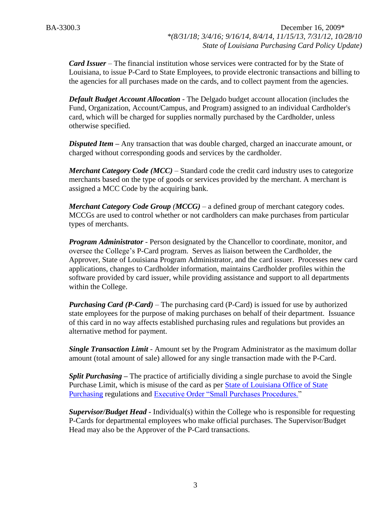*Card Issuer* – The financial institution whose services were contracted for by the State of Louisiana, to issue P-Card to State Employees, to provide electronic transactions and billing to the agencies for all purchases made on the cards, and to collect payment from the agencies.

*Default Budget Account Allocation -* The Delgado budget account allocation (includes the Fund, Organization, Account/Campus, and Program) assigned to an individual Cardholder's card, which will be charged for supplies normally purchased by the Cardholder, unless otherwise specified.

*Disputed Item –* Any transaction that was double charged, charged an inaccurate amount, or charged without corresponding goods and services by the cardholder.

*Merchant Category Code (MCC)* – Standard code the credit card industry uses to categorize merchants based on the type of goods or services provided by the merchant. A merchant is assigned a MCC Code by the acquiring bank.

*Merchant Category Code Group (MCCG)* – a defined group of merchant category codes. MCCGs are used to control whether or not cardholders can make purchases from particular types of merchants.

*Program Administrator* - Person designated by the Chancellor to coordinate, monitor, and oversee the College's P-Card program. Serves as liaison between the Cardholder, the Approver, State of Louisiana Program Administrator, and the card issuer. Processes new card applications, changes to Cardholder information, maintains Cardholder profiles within the software provided by card issuer, while providing assistance and support to all departments within the College.

*Purchasing Card (P-Card) –* The purchasing card (P-Card) is issued for use by authorized state employees for the purpose of making purchases on behalf of their department. Issuance of this card in no way affects established purchasing rules and regulations but provides an alternative method for payment.

*Single Transaction Limit -* Amount set by the Program Administrator as the maximum dollar amount (total amount of sale) allowed for any single transaction made with the P-Card.

*Split Purchasing –* The practice of artificially dividing a single purchase to avoid the Single Purchase Limit, which is misuse of the card as per [State of Louisiana Office of State](http://www.doa.la.gov/Pages/osp/Index.aspx)  [Purchasing](http://www.doa.la.gov/Pages/osp/Index.aspx) regulations and [Executive Order "Small Purchases Procedures."](http://www.doa.la.gov/osr/other/bj10-16.htm)

*Supervisor/Budget Head* **-** Individual(s) within the College who is responsible for requesting P-Cards for departmental employees who make official purchases. The Supervisor/Budget Head may also be the Approver of the P-Card transactions.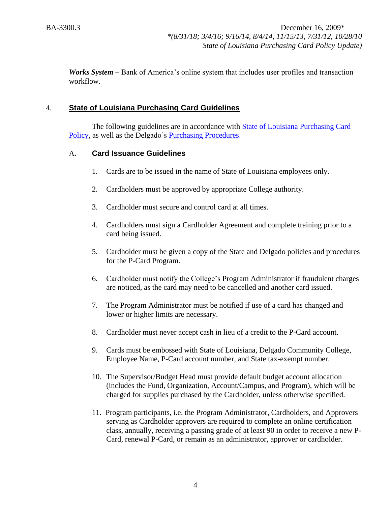*Works System –* Bank of America's online system that includes user profiles and transaction workflow.

# 4. **State of Louisiana Purchasing Card Guidelines**

The following guidelines are in accordance with [State of Louisiana Purchasing Card](http://www.doa.la.gov/Pages/osp/travel/lacartepcard.aspx)  [Policy,](http://www.doa.la.gov/Pages/osp/travel/lacartepcard.aspx) as well as the Delgado's [Purchasing Procedures.](http://docushare3.dcc.edu/docushare/dsweb/Get/Document-362/3300-1A+updated+8-09+with+29CFR+97.35.pdf)

### A. **Card Issuance Guidelines**

- 1. Cards are to be issued in the name of State of Louisiana employees only.
- 2. Cardholders must be approved by appropriate College authority.
- 3. Cardholder must secure and control card at all times.
- 4. Cardholders must sign a Cardholder Agreement and complete training prior to a card being issued.
- 5. Cardholder must be given a copy of the State and Delgado policies and procedures for the P-Card Program.
- 6. Cardholder must notify the College's Program Administrator if fraudulent charges are noticed, as the card may need to be cancelled and another card issued.
- 7. The Program Administrator must be notified if use of a card has changed and lower or higher limits are necessary.
- 8. Cardholder must never accept cash in lieu of a credit to the P-Card account.
- 9. Cards must be embossed with State of Louisiana, Delgado Community College, Employee Name, P-Card account number, and State tax-exempt number.
- 10. The Supervisor/Budget Head must provide default budget account allocation (includes the Fund, Organization, Account/Campus, and Program), which will be charged for supplies purchased by the Cardholder, unless otherwise specified.
- 11. Program participants, i.e. the Program Administrator, Cardholders, and Approvers serving as Cardholder approvers are required to complete an online certification class, annually, receiving a passing grade of at least 90 in order to receive a new P-Card, renewal P-Card, or remain as an administrator, approver or cardholder.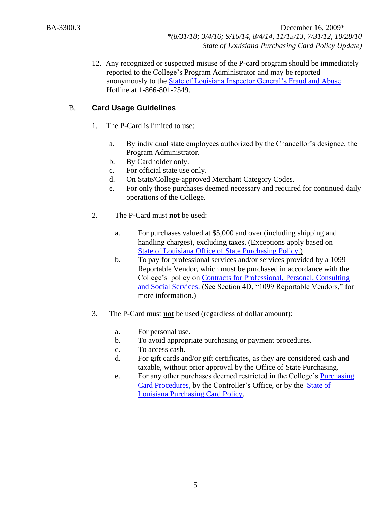> 12. Any recognized or suspected misuse of the P-card program should be immediately reported to the College's Program Administrator and may be reported anonymously to the [State of Louisiana Inspector General's Fraud and Abuse](http://oig.louisiana.gov/index.cfm?md=pagebuilder&tmp=home&nid=3&pnid=0&pid=4&catid=0) Hotline at 1-866-801-2549.

# B. **Card Usage Guidelines**

- 1. The P-Card is limited to use:
	- a. By individual state employees authorized by the Chancellor's designee, the Program Administrator.
	- b. By Cardholder only.
	- c. For official state use only.
	- d. On State/College-approved Merchant Category Codes.
	- e. For only those purchases deemed necessary and required for continued daily operations of the College.
- 2. The P-Card must **not** be used:
	- a. For purchases valued at \$5,000 and over (including shipping and handling charges), excluding taxes. (Exceptions apply based on [State of Louisiana Office of State Purchasing Policy.](http://www.doa.la.gov/Pages/osp/travel/lacartepcard.aspx))
	- b. To pay for professional services and/or services provided by a 1099 Reportable Vendor, which must be purchased in accordance with the College's policy on [Contracts for Professional, Personal, Consulting](http://docushare3.dcc.edu/docushare/dsweb/Get/Document-363/3311-1c.DOC)  [and Social Services.](http://docushare3.dcc.edu/docushare/dsweb/Get/Document-363/3311-1c.DOC) (See Section 4D, "1099 Reportable Vendors," for more information.)
- 3. The P-Card must **not** be used (regardless of dollar amount):
	- a. For personal use.
	- b. To avoid appropriate purchasing or payment procedures.
	- c. To access cash.
	- d. For gift cards and/or gift certificates, as they are considered cash and taxable, without prior approval by the Office of State Purchasing.
	- e. For any other purchases deemed restricted in the College's [Purchasing](http://docushare3.dcc.edu/docushare/dsweb/Get/Document-3775/3300-3+Delgado+Purchasing+Card+Procedures+Approved+12-16-09.pdf)  [Card Procedures,](http://docushare3.dcc.edu/docushare/dsweb/Get/Document-3775/3300-3+Delgado+Purchasing+Card+Procedures+Approved+12-16-09.pdf) by the Controller's Office, or by the [State of](http://www.doa.la.gov/Pages/osp/travel/lacartepcard.aspx)  [Louisiana Purchasing Card Policy.](http://www.doa.la.gov/Pages/osp/travel/lacartepcard.aspx)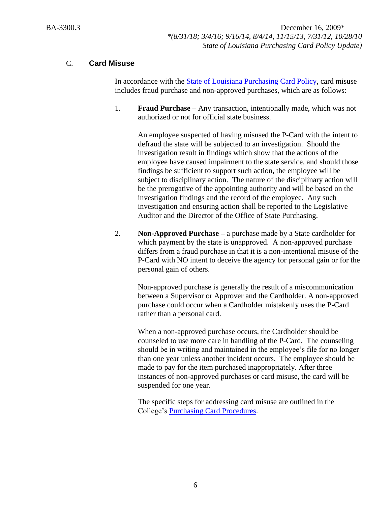# C. **Card Misuse**

In accordance with the **State of Louisiana Purchasing Card Policy**, card misuse includes fraud purchase and non-approved purchases, which are as follows:

1. **Fraud Purchase –** Any transaction, intentionally made, which was not authorized or not for official state business.

An employee suspected of having misused the P-Card with the intent to defraud the state will be subjected to an investigation. Should the investigation result in findings which show that the actions of the employee have caused impairment to the state service, and should those findings be sufficient to support such action, the employee will be subject to disciplinary action. The nature of the disciplinary action will be the prerogative of the appointing authority and will be based on the investigation findings and the record of the employee. Any such investigation and ensuring action shall be reported to the Legislative Auditor and the Director of the Office of State Purchasing.

2. **Non-Approved Purchase –** a purchase made by a State cardholder for which payment by the state is unapproved. A non-approved purchase differs from a fraud purchase in that it is a non-intentional misuse of the P-Card with NO intent to deceive the agency for personal gain or for the personal gain of others.

Non-approved purchase is generally the result of a miscommunication between a Supervisor or Approver and the Cardholder. A non-approved purchase could occur when a Cardholder mistakenly uses the P-Card rather than a personal card.

When a non-approved purchase occurs, the Cardholder should be counseled to use more care in handling of the P-Card. The counseling should be in writing and maintained in the employee's file for no longer than one year unless another incident occurs. The employee should be made to pay for the item purchased inappropriately. After three instances of non-approved purchases or card misuse, the card will be suspended for one year.

The specific steps for addressing card misuse are outlined in the College's [Purchasing Card Procedures.](http://docushare3.dcc.edu/docushare/dsweb/Get/Document-3775/3300-3+Delgado+Purchasing+Card+Procedures+Approved+12-16-09.pdf)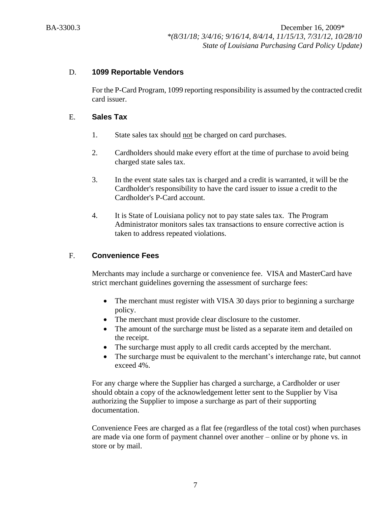### D. **1099 Reportable Vendors**

For the P-Card Program, 1099 reporting responsibility is assumed by the contracted credit card issuer.

#### E. **Sales Tax**

- 1. State sales tax should not be charged on card purchases.
- 2. Cardholders should make every effort at the time of purchase to avoid being charged state sales tax.
- 3. In the event state sales tax is charged and a credit is warranted, it will be the Cardholder's responsibility to have the card issuer to issue a credit to the Cardholder's P-Card account.
- 4. It is State of Louisiana policy not to pay state sales tax. The Program Administrator monitors sales tax transactions to ensure corrective action is taken to address repeated violations.

### F. **Convenience Fees**

Merchants may include a surcharge or convenience fee. VISA and MasterCard have strict merchant guidelines governing the assessment of surcharge fees:

- The merchant must register with VISA 30 days prior to beginning a surcharge policy.
- The merchant must provide clear disclosure to the customer.
- The amount of the surcharge must be listed as a separate item and detailed on the receipt.
- The surcharge must apply to all credit cards accepted by the merchant.
- The surcharge must be equivalent to the merchant's interchange rate, but cannot exceed 4%.

For any charge where the Supplier has charged a surcharge, a Cardholder or user should obtain a copy of the acknowledgement letter sent to the Supplier by Visa authorizing the Supplier to impose a surcharge as part of their supporting documentation.

Convenience Fees are charged as a flat fee (regardless of the total cost) when purchases are made via one form of payment channel over another – online or by phone vs. in store or by mail.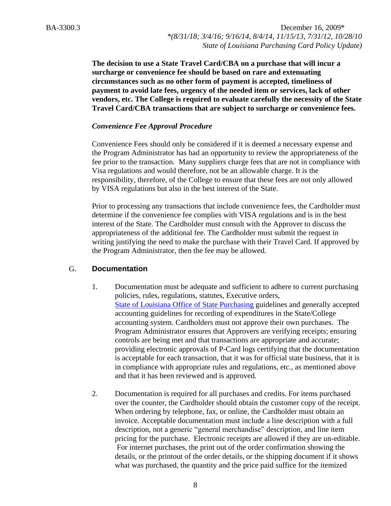> **The decision to use a State Travel Card/CBA on a purchase that will incur a surcharge or convenience fee should be based on rare and extenuating circumstances such as no other form of payment is accepted, timeliness of payment to avoid late fees, urgency of the needed item or services, lack of other vendors, etc. The College is required to evaluate carefully the necessity of the State Travel Card/CBA transactions that are subject to surcharge or convenience fees.**

#### *Convenience Fee Approval Procedure*

Convenience Fees should only be considered if it is deemed a necessary expense and the Program Administrator has had an opportunity to review the appropriateness of the fee prior to the transaction. Many suppliers charge fees that are not in compliance with Visa regulations and would therefore, not be an allowable charge. It is the responsibility, therefore, of the College to ensure that these fees are not only allowed by VISA regulations but also in the best interest of the State.

Prior to processing any transactions that include convenience fees, the Cardholder must determine if the convenience fee complies with VISA regulations and is in the best interest of the State. The Cardholder must consult with the Approver to discuss the appropriateness of the additional fee. The Cardholder must submit the request in writing justifying the need to make the purchase with their Travel Card. If approved by the Program Administrator, then the fee may be allowed.

#### G. **Documentation**

- 1. Documentation must be adequate and sufficient to adhere to current purchasing policies, rules, regulations, statutes, Executive orders, [State of Louisiana Office of State Purchasing](http://doa.louisiana.gov/osp/osp.htm) guidelines and generally accepted accounting guidelines for recording of expenditures in the State/College accounting system. Cardholders must not approve their own purchases. The Program Administrator ensures that Approvers are verifying receipts; ensuring controls are being met and that transactions are appropriate and accurate; providing electronic approvals of P-Card logs certifying that the documentation is acceptable for each transaction, that it was for official state business, that it is in compliance with appropriate rules and regulations, etc., as mentioned above and that it has been reviewed and is approved.
- 2. Documentation is required for all purchases and credits. For items purchased over the counter, the Cardholder should obtain the customer copy of the receipt. When ordering by telephone, fax, or online, the Cardholder must obtain an invoice. Acceptable documentation must include a line description with a full description, not a generic "general merchandise" description, and line item pricing for the purchase. Electronic receipts are allowed if they are un-editable. For internet purchases, the print out of the order confirmation showing the details, or the printout of the order details, or the shipping document if it shows what was purchased, the quantity and the price paid suffice for the itemized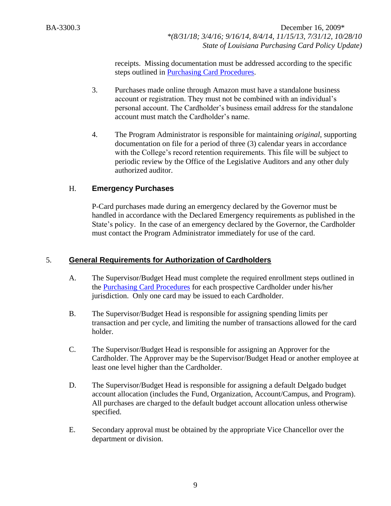> receipts. Missing documentation must be addressed according to the specific steps outlined in [Purchasing Card Procedures.](http://docushare3.dcc.edu/docushare/dsweb/Get/Document-3775/3300-3+Delgado+Purchasing+Card+Procedures+Approved+12-16-09.pdf)

- 3. Purchases made online through Amazon must have a standalone business account or registration. They must not be combined with an individual's personal account. The Cardholder's business email address for the standalone account must match the Cardholder's name.
- 4. The Program Administrator is responsible for maintaining *original*, supporting documentation on file for a period of three (3) calendar years in accordance with the College's record retention requirements. This file will be subject to periodic review by the Office of the Legislative Auditors and any other duly authorized auditor.

# H. **Emergency Purchases**

P-Card purchases made during an emergency declared by the Governor must be handled in accordance with the Declared Emergency requirements as published in the State's policy. In the case of an emergency declared by the Governor, the Cardholder must contact the Program Administrator immediately for use of the card.

# 5. **General Requirements for Authorization of Cardholders**

- A. The Supervisor/Budget Head must complete the required enrollment steps outlined in the [Purchasing Card Procedures](http://docushare3.dcc.edu/docushare/dsweb/Get/Document-3775/3300-3+Delgado+Purchasing+Card+Procedures+Approved+12-16-09.pdf) for each prospective Cardholder under his/her jurisdiction. Only one card may be issued to each Cardholder.
- B. The Supervisor/Budget Head is responsible for assigning spending limits per transaction and per cycle, and limiting the number of transactions allowed for the card holder.
- C. The Supervisor/Budget Head is responsible for assigning an Approver for the Cardholder. The Approver may be the Supervisor/Budget Head or another employee at least one level higher than the Cardholder.
- D. The Supervisor/Budget Head is responsible for assigning a default Delgado budget account allocation (includes the Fund, Organization, Account/Campus, and Program). All purchases are charged to the default budget account allocation unless otherwise specified.
- E. Secondary approval must be obtained by the appropriate Vice Chancellor over the department or division.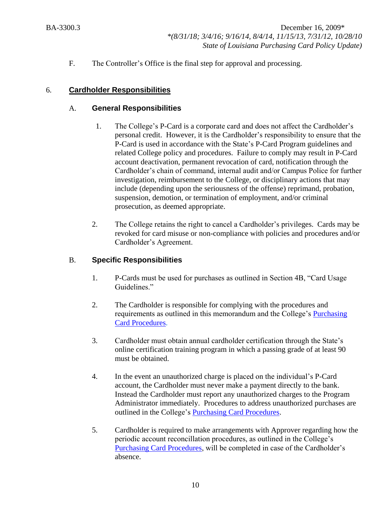F. The Controller's Office is the final step for approval and processing.

### 6. **Cardholder Responsibilities**

### A. **General Responsibilities**

- 1. The College's P-Card is a corporate card and does not affect the Cardholder's personal credit. However, it is the Cardholder's responsibility to ensure that the P-Card is used in accordance with the State's P-Card Program guidelines and related College policy and procedures. Failure to comply may result in P-Card account deactivation, permanent revocation of card, notification through the Cardholder's chain of command, internal audit and/or Campus Police for further investigation, reimbursement to the College, or disciplinary actions that may include (depending upon the seriousness of the offense) reprimand, probation, suspension, demotion, or termination of employment, and/or criminal prosecution, as deemed appropriate.
- 2. The College retains the right to cancel a Cardholder's privileges. Cards may be revoked for card misuse or non-compliance with policies and procedures and/or Cardholder's Agreement.

# B. **Specific Responsibilities**

- 1. P-Cards must be used for purchases as outlined in Section 4B, "Card Usage Guidelines."
- 2. The Cardholder is responsible for complying with the procedures and requirements as outlined in this memorandum and the College's [Purchasing](http://docushare3.dcc.edu/docushare/dsweb/Get/Document-3775/3300-3+Delgado+Purchasing+Card+Procedures+Approved+12-16-09.pdf)  [Card Procedures.](http://docushare3.dcc.edu/docushare/dsweb/Get/Document-3775/3300-3+Delgado+Purchasing+Card+Procedures+Approved+12-16-09.pdf)
- 3. Cardholder must obtain annual cardholder certification through the State's online certification training program in which a passing grade of at least 90 must be obtained.
- 4. In the event an unauthorized charge is placed on the individual's P-Card account, the Cardholder must never make a payment directly to the bank. Instead the Cardholder must report any unauthorized charges to the Program Administrator immediately. Procedures to address unauthorized purchases are outlined in the College's [Purchasing Card Procedures.](http://docushare3.dcc.edu/docushare/dsweb/Get/Document-3775/3300-3+Delgado+Purchasing+Card+Procedures+Approved+12-16-09.pdf)
- 5. Cardholder is required to make arrangements with Approver regarding how the periodic account reconcillation procedures, as outlined in the College's [Purchasing Card Procedures,](http://docushare3.dcc.edu/docushare/dsweb/Get/Document-3775/3300-3+Delgado+Purchasing+Card+Procedures+Approved+12-16-09.pdf) will be completed in case of the Cardholder's absence.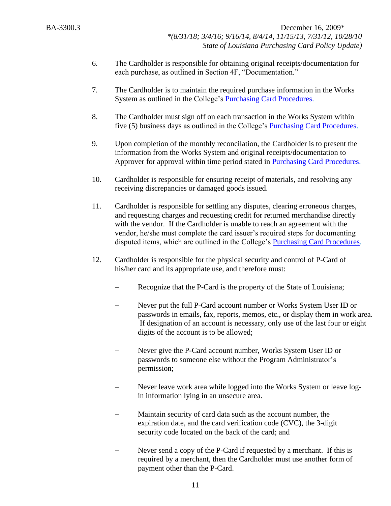- 6. The Cardholder is responsible for obtaining original receipts/documentation for each purchase, as outlined in Section 4F, "Documentation."
- 7. The Cardholder is to maintain the required purchase information in the Works System as outlined in the College's [Purchasing Card Procedures.](http://docushare3.dcc.edu/docushare/dsweb/Get/Document-3775/3300-3+Delgado+Purchasing+Card+Procedures+Approved+12-16-09.pdf)
- 8. The Cardholder must sign off on each transaction in the Works System within five (5) business days as outlined in the College's [Purchasing Card Procedures.](http://docushare3.dcc.edu/docushare/dsweb/Get/Document-3775/3300-3+Delgado+Purchasing+Card+Procedures+Approved+12-16-09.pdf)
- 9. Upon completion of the monthly reconcilation, the Cardholder is to present the information from the Works System and original receipts/documentation to Approver for approval within time period stated in [Purchasing Card Procedures.](http://docushare3.dcc.edu/docushare/dsweb/Get/Document-3775/3300-3+Delgado+Purchasing+Card+Procedures+Approved+12-16-09.pdf)
- 10. Cardholder is responsible for ensuring receipt of materials, and resolving any receiving discrepancies or damaged goods issued.
- 11. Cardholder is responsible for settling any disputes, clearing erroneous charges, and requesting charges and requesting credit for returned merchandise directly with the vendor. If the Cardholder is unable to reach an agreement with the vendor, he/she must complete the card issuer's required steps for documenting disputed items, which are outlined in the College's [Purchasing Card Procedures.](http://docushare3.dcc.edu/docushare/dsweb/Get/Document-3775/3300-3+Delgado+Purchasing+Card+Procedures+Approved+12-16-09.pdf)
- 12. Cardholder is responsible for the physical security and control of P-Card of his/her card and its appropriate use, and therefore must:
	- Recognize that the P-Card is the property of the State of Louisiana;
	- Never put the full P-Card account number or Works System User ID or passwords in emails, fax, reports, memos, etc., or display them in work area. If designation of an account is necessary, only use of the last four or eight digits of the account is to be allowed;
	- Never give the P-Card account number, Works System User ID or passwords to someone else without the Program Administrator's permission;
	- Never leave work area while logged into the Works System or leave login information lying in an unsecure area.
	- Maintain security of card data such as the account number, the expiration date, and the card verification code (CVC), the 3-digit security code located on the back of the card; and
	- Never send a copy of the P-Card if requested by a merchant. If this is required by a merchant, then the Cardholder must use another form of payment other than the P-Card.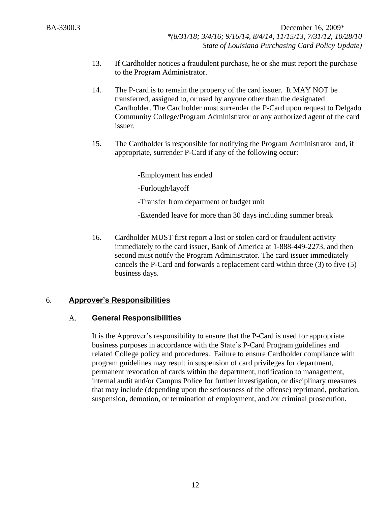- 13. If Cardholder notices a fraudulent purchase, he or she must report the purchase to the Program Administrator.
- 14. The P-card is to remain the property of the card issuer. It MAY NOT be transferred, assigned to, or used by anyone other than the designated Cardholder. The Cardholder must surrender the P-Card upon request to Delgado Community College/Program Administrator or any authorized agent of the card issuer.
- 15. The Cardholder is responsible for notifying the Program Administrator and, if appropriate, surrender P-Card if any of the following occur:

-Employment has ended

-Furlough/layoff

-Transfer from department or budget unit

-Extended leave for more than 30 days including summer break

16. Cardholder MUST first report a lost or stolen card or fraudulent activity immediately to the card issuer, Bank of America at 1-888-449-2273, and then second must notify the Program Administrator. The card issuer immediately cancels the P-Card and forwards a replacement card within three (3) to five (5) business days.

# 6. **Approver's Responsibilities**

# A. **General Responsibilities**

It is the Approver's responsibility to ensure that the P-Card is used for appropriate business purposes in accordance with the State's P-Card Program guidelines and related College policy and procedures. Failure to ensure Cardholder compliance with program guidelines may result in suspension of card privileges for department, permanent revocation of cards within the department, notification to management, internal audit and/or Campus Police for further investigation, or disciplinary measures that may include (depending upon the seriousness of the offense) reprimand, probation, suspension, demotion, or termination of employment, and /or criminal prosecution.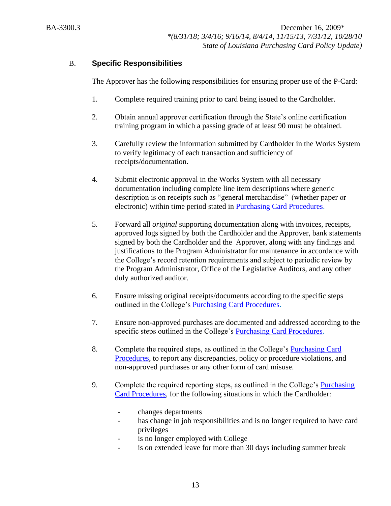# B. **Specific Responsibilities**

The Approver has the following responsibilities for ensuring proper use of the P-Card:

- 1. Complete required training prior to card being issued to the Cardholder.
- 2. Obtain annual approver certification through the State's online certification training program in which a passing grade of at least 90 must be obtained.
- 3. Carefully review the information submitted by Cardholder in the Works System to verify legitimacy of each transaction and sufficiency of receipts/documentation.
- 4. Submit electronic approval in the Works System with all necessary documentation including complete line item descriptions where generic description is on receipts such as "general merchandise" (whether paper or electronic) within time period stated in [Purchasing Card Procedures.](http://docushare3.dcc.edu/docushare/dsweb/Get/Document-3775/3300-3+Delgado+Purchasing+Card+Procedures+Approved+12-16-09.pdf)
- 5. Forward all *original* supporting documentation along with invoices, receipts, approved logs signed by both the Cardholder and the Approver, bank statements signed by both the Cardholder and the Approver, along with any findings and justifications to the Program Administrator for maintenance in accordance with the College's record retention requirements and subject to periodic review by the Program Administrator, Office of the Legislative Auditors, and any other duly authorized auditor.
- 6. Ensure missing original receipts/documents according to the specific steps outlined in the College's [Purchasing Card Procedures.](http://docushare3.dcc.edu/docushare/dsweb/Get/Document-3775/3300-3+Delgado+Purchasing+Card+Procedures+Approved+12-16-09.pdf)
- 7. Ensure non-approved purchases are documented and addressed according to the specific steps outlined in the College's [Purchasing Card Procedures.](http://docushare3.dcc.edu/docushare/dsweb/Get/Document-3775/3300-3+Delgado+Purchasing+Card+Procedures+Approved+12-16-09.pdf)
- 8. Complete the required steps, as outlined in the College's [Purchasing Card](http://docushare3.dcc.edu/docushare/dsweb/Get/Document-3775/3300-3+Delgado+Purchasing+Card+Procedures+Approved+12-16-09.pdf)  [Procedures,](http://docushare3.dcc.edu/docushare/dsweb/Get/Document-3775/3300-3+Delgado+Purchasing+Card+Procedures+Approved+12-16-09.pdf) to report any discrepancies, policy or procedure violations, and non-approved purchases or any other form of card misuse.
- 9. Complete the required reporting steps, as outlined in the College's **Purchasing** [Card Procedures,](http://docushare3.dcc.edu/docushare/dsweb/Get/Document-3775/3300-3+Delgado+Purchasing+Card+Procedures+Approved+12-16-09.pdf) for the following situations in which the Cardholder:
	- changes departments
	- has change in job responsibilities and is no longer required to have card privileges
	- is no longer employed with College
	- is on extended leave for more than 30 days including summer break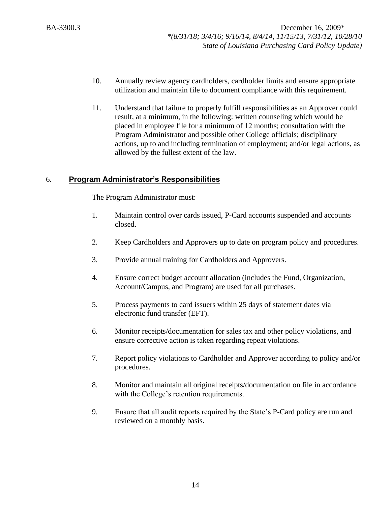- 10. Annually review agency cardholders, cardholder limits and ensure appropriate utilization and maintain file to document compliance with this requirement.
- 11. Understand that failure to properly fulfill responsibilities as an Approver could result, at a minimum, in the following: written counseling which would be placed in employee file for a minimum of 12 months; consultation with the Program Administrator and possible other College officials; disciplinary actions, up to and including termination of employment; and/or legal actions, as allowed by the fullest extent of the law.

### 6. **Program Administrator's Responsibilities**

The Program Administrator must:

- 1. Maintain control over cards issued, P-Card accounts suspended and accounts closed.
- 2. Keep Cardholders and Approvers up to date on program policy and procedures.
- 3. Provide annual training for Cardholders and Approvers.
- 4. Ensure correct budget account allocation (includes the Fund, Organization, Account/Campus, and Program) are used for all purchases.
- 5. Process payments to card issuers within 25 days of statement dates via electronic fund transfer (EFT).
- 6. Monitor receipts/documentation for sales tax and other policy violations, and ensure corrective action is taken regarding repeat violations.
- 7. Report policy violations to Cardholder and Approver according to policy and/or procedures.
- 8. Monitor and maintain all original receipts/documentation on file in accordance with the College's retention requirements.
- 9. Ensure that all audit reports required by the State's P-Card policy are run and reviewed on a monthly basis.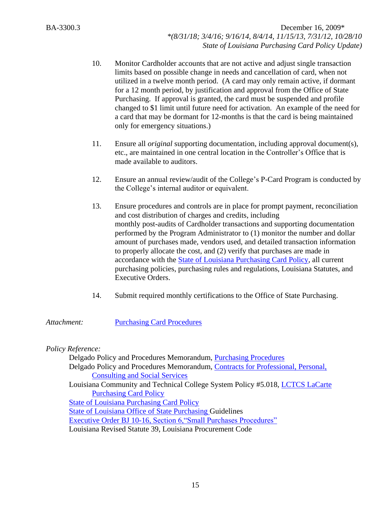- 10. Monitor Cardholder accounts that are not active and adjust single transaction limits based on possible change in needs and cancellation of card, when not utilized in a twelve month period. (A card may only remain active, if dormant for a 12 month period, by justification and approval from the Office of State Purchasing. If approval is granted, the card must be suspended and profile changed to \$1 limit until future need for activation. An example of the need for a card that may be dormant for 12-months is that the card is being maintained only for emergency situations.)
- 11. Ensure all *original* supporting documentation, including approval document(s), etc., are maintained in one central location in the Controller's Office that is made available to auditors.
- 12. Ensure an annual review/audit of the College's P-Card Program is conducted by the College's internal auditor or equivalent.
- 13. Ensure procedures and controls are in place for prompt payment, reconciliation and cost distribution of charges and credits, including monthly post-audits of Cardholder transactions and supporting documentation performed by the Program Administrator to (1) monitor the number and dollar amount of purchases made, vendors used, and detailed transaction information to properly allocate the cost, and (2) verify that purchases are made in accordance with the [State of Louisiana Purchasing Card Policy,](http://www.doa.la.gov/Pages/osp/travel/lacartepcard.aspx) all current purchasing policies, purchasing rules and regulations, Louisiana Statutes, and Executive Orders.
- 14. Submit required monthly certifications to the Office of State Purchasing.

#### *Attachment:* [Purchasing Card Procedures](http://docushare3.dcc.edu/docushare/dsweb/Get/Document-3775/3300-3+Delgado+Purchasing+Card+Procedures+Approved+12-16-09.pdf)

#### *Policy Reference:*

Delgado Policy and Procedures Memorandum, [Purchasing Procedures](http://docushare3.dcc.edu/docushare/dsweb/Get/Document-362/3300-1A+updated+8-09+with+29CFR+97.35.pdf) Delgado Policy and Procedures Memorandum, [Contracts for Professional, Personal,](http://docushare3.dcc.edu/docushare/dsweb/Get/Document-363/3311-1c.DOC)  [Consulting and Social Services](http://docushare3.dcc.edu/docushare/dsweb/Get/Document-363/3311-1c.DOC) Louisiana Community and Technical College System Policy #5.018, [LCTCS LaCarte](http://www.lctcs.edu/assets/docs/FinanceAndAdministration/5.018.pdf)  [Purchasing Card Policy](http://www.lctcs.edu/assets/docs/FinanceAndAdministration/5.018.pdf) [State of Louisiana Purchasing Card Policy](http://www.doa.la.gov/Pages/osp/travel/lacartepcard.aspx) [State of Louisiana Office of State Purchasing G](http://www.doa.la.gov/Pages/osp/Index.aspx)uidelines [Executive Order BJ 10-16, Section 6,"Small Purchases Procedures"](http://www.doa.la.gov/osr/other/bj10-16.htm) Louisiana Revised Statute 39, Louisiana Procurement Code